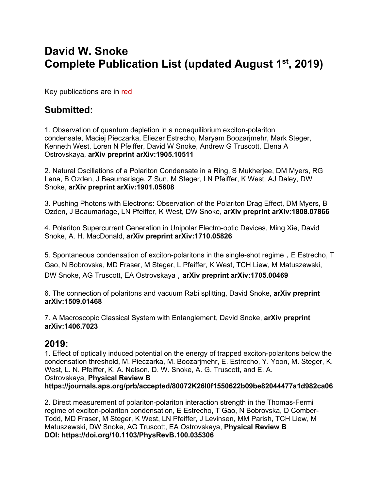# **David W. Snoke Complete Publication List (updated August 1st, 2019)**

Key publications are in red

# **Submitted:**

1. Observation of quantum depletion in a nonequilibrium exciton-polariton condensate, Maciej Pieczarka, Eliezer Estrecho, Maryam Boozarjmehr, Mark Steger, Kenneth West, Loren N Pfeiffer, David W Snoke, Andrew G Truscott, Elena A Ostrovskaya, **arXiv preprint arXiv:1905.10511**

2. Natural Oscillations of a Polariton Condensate in a Ring, S Mukherjee, DM Myers, RG Lena, B Ozden, J Beaumariage, Z Sun, M Steger, LN Pfeiffer, K West, AJ Daley, DW Snoke, **arXiv preprint arXiv:1901.05608**

3. Pushing Photons with Electrons: Observation of the Polariton Drag Effect, DM Myers, B Ozden, J Beaumariage, LN Pfeiffer, K West, DW Snoke, **arXiv preprint arXiv:1808.07866**

4. Polariton Supercurrent Generation in Unipolar Electro-optic Devices, Ming Xie, David Snoke, A. H. MacDonald, **arXiv preprint arXiv:1710.05826**

5. Spontaneous condensation of exciton-polaritons in the single-shot regime, E Estrecho, T Gao, N Bobrovska, MD Fraser, M Steger, L Pfeiffer, K West, TCH Liew, M Matuszewski, DW Snoke, AG Truscott, EA Ostrovskaya,**arXiv preprint arXiv:1705.00469**

6. The connection of polaritons and vacuum Rabi splitting, David Snoke, **arXiv preprint arXiv:1509.01468**

7. A Macroscopic Classical System with Entanglement, David Snoke, **arXiv preprint arXiv:1406.7023**

## **2019:**

1. Effect of optically induced potential on the energy of trapped exciton-polaritons below the condensation threshold, M. Pieczarka, M. Boozarjmehr, E. Estrecho, Y. Yoon, M. Steger, K. West, L. N. Pfeiffer, K. A. Nelson, D. W. Snoke, A. G. Truscott, and E. A. Ostrovskaya, **Physical Review B https://journals.aps.org/prb/accepted/80072K26I0f1550622b09be82044477a1d982ca06**

2. Direct measurement of polariton-polariton interaction strength in the Thomas-Fermi regime of exciton-polariton condensation, E Estrecho, T Gao, N Bobrovska, D Comber-Todd, MD Fraser, M Steger, K West, LN Pfeiffer, J Levinsen, MM Parish, TCH Liew, M Matuszewski, DW Snoke, AG Truscott, EA Ostrovskaya, **Physical Review B DOI: https://doi.org/10.1103/PhysRevB.100.035306**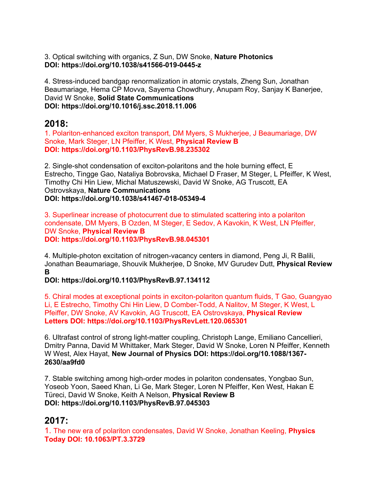3. Optical switching with organics, Z Sun, DW Snoke, **Nature Photonics DOI: https://doi.org/10.1038/s41566-019-0445-z**

4. Stress-induced bandgap renormalization in atomic crystals, Zheng Sun, Jonathan Beaumariage, Hema CP Movva, Sayema Chowdhury, Anupam Roy, Sanjay K Banerjee, David W Snoke, **Solid State Communications DOI: https://doi.org/10.1016/j.ssc.2018.11.006**

#### **2018:**

1. Polariton-enhanced exciton transport, DM Myers, S Mukherjee, J Beaumariage, DW Snoke, Mark Steger, LN Pfeiffer, K West, **Physical Review B DOI: https://doi.org/10.1103/PhysRevB.98.235302**

2. Single-shot condensation of exciton-polaritons and the hole burning effect, E Estrecho, Tingge Gao, Nataliya Bobrovska, Michael D Fraser, M Steger, L Pfeiffer, K West, Timothy Chi Hin Liew, Michal Matuszewski, David W Snoke, AG Truscott, EA Ostrovskaya, **Nature Communications DOI: https://doi.org/10.1038/s41467-018-05349-4**

3. Superlinear increase of photocurrent due to stimulated scattering into a polariton condensate, DM Myers, B Ozden, M Steger, E Sedov, A Kavokin, K West, LN Pfeiffer, DW Snoke, **Physical Review B DOI: https://doi.org/10.1103/PhysRevB.98.045301**

4. Multiple-photon excitation of nitrogen-vacancy centers in diamond, Peng Ji, R Balili, Jonathan Beaumariage, Shouvik Mukherjee, D Snoke, MV Gurudev Dutt, **Physical Review B**

**DOI: https://doi.org/10.1103/PhysRevB.97.134112**

5. Chiral modes at exceptional points in exciton-polariton quantum fluids, T Gao, Guangyao Li, E Estrecho, Timothy Chi Hin Liew, D Comber-Todd, A Nalitov, M Steger, K West, L Pfeiffer, DW Snoke, AV Kavokin, AG Truscott, EA Ostrovskaya, **Physical Review Letters DOI: https://doi.org/10.1103/PhysRevLett.120.065301**

6. Ultrafast control of strong light-matter coupling, Christoph Lange, Emiliano Cancellieri, Dmitry Panna, David M Whittaker, Mark Steger, David W Snoke, Loren N Pfeiffer, Kenneth W West, Alex Hayat, **New Journal of Physics DOI: https://doi.org/10.1088/1367- 2630/aa9fd0**

7. Stable switching among high-order modes in polariton condensates, Yongbao Sun, Yoseob Yoon, Saeed Khan, Li Ge, Mark Steger, Loren N Pfeiffer, Ken West, Hakan E Türeci, David W Snoke, Keith A Nelson, **Physical Review B DOI: https://doi.org/10.1103/PhysRevB.97.045303**

## **2017:**

1. The new era of polariton condensates, David W Snoke, Jonathan Keeling, **Physics Today DOI: 10.1063/PT.3.3729**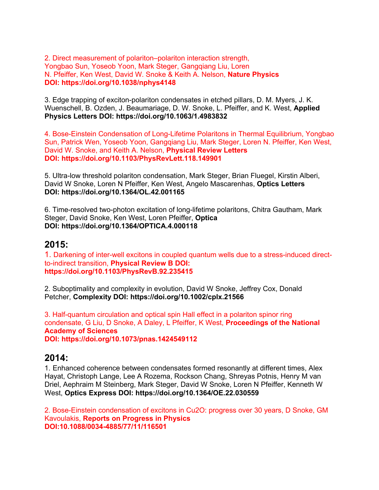2. Direct measurement of polariton–polariton interaction strength, Yongbao Sun, Yoseob Yoon, Mark Steger, Gangqiang Liu, Loren N. Pfeiffer, Ken West, David W. Snoke & Keith A. Nelson, **Nature Physics DOI: https://doi.org/10.1038/nphys4148**

3. Edge trapping of exciton-polariton condensates in etched pillars, D. M. Myers, J. K. Wuenschell, B. Ozden, J. Beaumariage, D. W. Snoke, L. Pfeiffer, and K. West, **Applied Physics Letters DOI: https://doi.org/10.1063/1.4983832**

4. Bose-Einstein Condensation of Long-Lifetime Polaritons in Thermal Equilibrium, Yongbao Sun, Patrick Wen, Yoseob Yoon, Gangqiang Liu, Mark Steger, Loren N. Pfeiffer, Ken West, David W. Snoke, and Keith A. Nelson, **Physical Review Letters DOI: https://doi.org/10.1103/PhysRevLett.118.149901**

5. Ultra-low threshold polariton condensation, Mark Steger, Brian Fluegel, Kirstin Alberi, David W Snoke, Loren N Pfeiffer, Ken West, Angelo Mascarenhas, **Optics Letters DOI: https://doi.org/10.1364/OL.42.001165**

6. Time-resolved two-photon excitation of long-lifetime polaritons, Chitra Gautham, Mark Steger, David Snoke, Ken West, Loren Pfeiffer, **Optica DOI: https://doi.org/10.1364/OPTICA.4.000118**

#### **2015:**

1. Darkening of inter-well excitons in coupled quantum wells due to a stress-induced directto-indirect transition, **Physical Review B DOI: https://doi.org/10.1103/PhysRevB.92.235415**

2. Suboptimality and complexity in evolution, David W Snoke, Jeffrey Cox, Donald Petcher, **Complexity DOI: https://doi.org/10.1002/cplx.21566**

3. Half-quantum circulation and optical spin Hall effect in a polariton spinor ring condensate, G Liu, D Snoke, A Daley, L Pfeiffer, K West, **Proceedings of the National Academy of Sciences DOI: https://doi.org/10.1073/pnas.1424549112**

#### **2014:**

1. Enhanced coherence between condensates formed resonantly at different times, Alex Hayat, Christoph Lange, Lee A Rozema, Rockson Chang, Shreyas Potnis, Henry M van Driel, Aephraim M Steinberg, Mark Steger, David W Snoke, Loren N Pfeiffer, Kenneth W West, **Optics Express DOI: https://doi.org/10.1364/OE.22.030559**

2. Bose-Einstein condensation of excitons in Cu2O: progress over 30 years, D Snoke, GM Kavoulakis, **Reports on Progress in Physics DOI:10.1088/0034-4885/77/11/116501**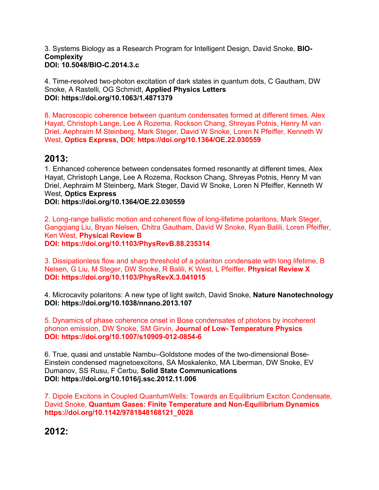3. Systems Biology as a Research Program for Intelligent Design, David Snoke, **BIO-Complexity DOI: 10.5048/BIO-C.2014.3.c**

4. Time-resolved two-photon excitation of dark states in quantum dots, C Gautham, DW Snoke, A Rastelli, OG Schmidt, **Applied Physics Letters DOI: https://doi.org/10.1063/1.4871379**

8. Macroscopic coherence between quantum condensates formed at different times, Alex Hayat, Christoph Lange, Lee A Rozema, Rockson Chang, Shreyas Potnis, Henry M van Driel, Aephraim M Steinberg, Mark Steger, David W Snoke, Loren N Pfeiffer, Kenneth W West, **Optics Express, DOI: https://doi.org/10.1364/OE.22.030559**

## **2013:**

1. Enhanced coherence between condensates formed resonantly at different times, Alex Hayat, Christoph Lange, Lee A Rozema, Rockson Chang, Shreyas Potnis, Henry M van Driel, Aephraim M Steinberg, Mark Steger, David W Snoke, Loren N Pfeiffer, Kenneth W West, **Optics Express**

**DOI: https://doi.org/10.1364/OE.22.030559**

2. Long-range ballistic motion and coherent flow of long-lifetime polaritons, Mark Steger, Gangqiang Liu, Bryan Nelsen, Chitra Gautham, David W Snoke, Ryan Balili, Loren Pfeiffer, Ken West, **Physical Review B**

**DOI: https://doi.org/10.1103/PhysRevB.88.235314**

3. Dissipationless flow and sharp threshold of a polariton condensate with long lifetime, B Nelsen, G Liu, M Steger, DW Snoke, R Balili, K West, L Pfeiffer, **Physical Review X DOI: https://doi.org/10.1103/PhysRevX.3.041015**

4. Microcavity polaritons: A new type of light switch, David Snoke, **Nature Nanotechnology DOI: https://doi.org/10.1038/nnano.2013.107**

5. Dynamics of phase coherence onset in Bose condensates of photons by incoherent phonon emission, DW Snoke, SM Girvin, **Journal of Low- Temperature Physics DOI: https://doi.org/10.1007/s10909-012-0854-6**

6. True, quasi and unstable Nambu–Goldstone modes of the two-dimensional Bose-Einstein condensed magnetoexcitons, SA Moskalenko, MA Liberman, DW Snoke, EV Dumanov, SS Rusu, F Cerbu, **Solid State Communications DOI: https://doi.org/10.1016/j.ssc.2012.11.006**

7. Dipole Excitons in Coupled QuantumWells: Towards an Equilibrium Exciton Condensate, David Snoke, **Quantum Gases: Finite Temperature and Non-Equilibrium Dynamics https://doi.org/10.1142/9781848168121\_0028**

**2012:**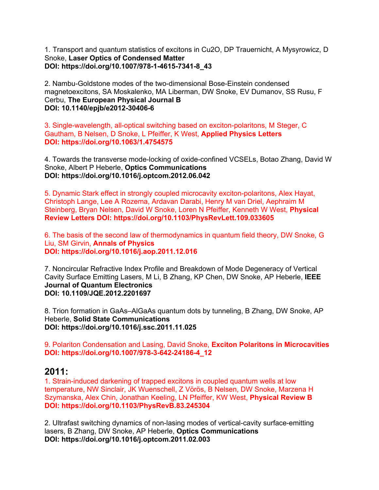1. Transport and quantum statistics of excitons in Cu2O, DP Trauernicht, A Mysyrowicz, D Snoke, **Laser Optics of Condensed Matter DOI: https://doi.org/10.1007/978-1-4615-7341-8\_43**

2. Nambu-Goldstone modes of the two-dimensional Bose-Einstein condensed magnetoexcitons, SA Moskalenko, MA Liberman, DW Snoke, EV Dumanov, SS Rusu, F Cerbu, **The European Physical Journal B DOI: 10.1140/epjb/e2012-30406-6**

3. Single-wavelength, all-optical switching based on exciton-polaritons, M Steger, C Gautham, B Nelsen, D Snoke, L Pfeiffer, K West, **Applied Physics Letters DOI: https://doi.org/10.1063/1.4754575**

4. Towards the transverse mode-locking of oxide-confined VCSELs, Botao Zhang, David W Snoke, Albert P Heberle, **Optics Communications DOI: https://doi.org/10.1016/j.optcom.2012.06.042**

5. Dynamic Stark effect in strongly coupled microcavity exciton-polaritons, Alex Hayat, Christoph Lange, Lee A Rozema, Ardavan Darabi, Henry M van Driel, Aephraim M Steinberg, Bryan Nelsen, David W Snoke, Loren N Pfeiffer, Kenneth W West, **Physical Review Letters DOI: https://doi.org/10.1103/PhysRevLett.109.033605**

6. The basis of the second law of thermodynamics in quantum field theory, DW Snoke, G Liu, SM Girvin, **Annals of Physics DOI: https://doi.org/10.1016/j.aop.2011.12.016**

7. Noncircular Refractive Index Profile and Breakdown of Mode Degeneracy of Vertical Cavity Surface Emitting Lasers, M Li, B Zhang, KP Chen, DW Snoke, AP Heberle, **IEEE Journal of Quantum Electronics DOI: 10.1109/JQE.2012.2201697**

8. Trion formation in GaAs–AlGaAs quantum dots by tunneling, B Zhang, DW Snoke, AP Heberle, **Solid State Communications DOI: https://doi.org/10.1016/j.ssc.2011.11.025**

9. Polariton Condensation and Lasing, David Snoke, **Exciton Polaritons in Microcavities DOI: https://doi.org/10.1007/978-3-642-24186-4\_12**

#### **2011:**

1. Strain-induced darkening of trapped excitons in coupled quantum wells at low temperature, NW Sinclair, JK Wuenschell, Z Vörös, B Nelsen, DW Snoke, Marzena H Szymanska, Alex Chin, Jonathan Keeling, LN Pfeiffer, KW West, **Physical Review B DOI: https://doi.org/10.1103/PhysRevB.83.245304**

2. Ultrafast switching dynamics of non-lasing modes of vertical-cavity surface-emitting lasers, B Zhang, DW Snoke, AP Heberle, **Optics Communications DOI: https://doi.org/10.1016/j.optcom.2011.02.003**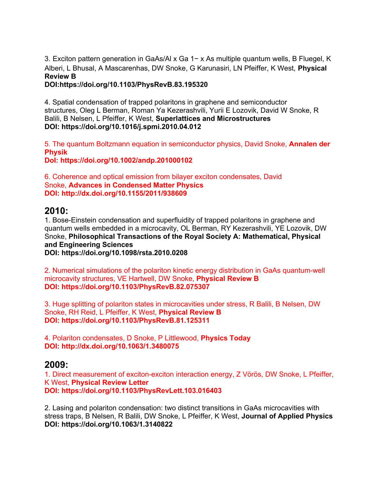3. Exciton pattern generation in GaAs/Al x Ga 1− x As multiple quantum wells, B Fluegel, K Alberi, L Bhusal, A Mascarenhas, DW Snoke, G Karunasiri, LN Pfeiffer, K West, **Physical Review B**

**DOI:https://doi.org/10.1103/PhysRevB.83.195320**

4. Spatial condensation of trapped polaritons in graphene and semiconductor structures, Oleg L Berman, Roman Ya Kezerashvili, Yurii E Lozovik, David W Snoke, R Balili, B Nelsen, L Pfeiffer, K West, **Superlattices and Microstructures DOI: https://doi.org/10.1016/j.spmi.2010.04.012**

5. The quantum Boltzmann equation in semiconductor physics, David Snoke, **Annalen der Physik**

**DoI: https://doi.org/10.1002/andp.201000102**

6. Coherence and optical emission from bilayer exciton condensates, David Snoke, **Advances in Condensed Matter Physics DOI: http://dx.doi.org/10.1155/2011/938609**

#### **2010:**

1. Bose-Einstein condensation and superfluidity of trapped polaritons in graphene and quantum wells embedded in a microcavity, OL Berman, RY Kezerashvili, YE Lozovik, DW Snoke, **Philosophical Transactions of the Royal Society A: Mathematical, Physical and Engineering Sciences**

**DOI: https://doi.org/10.1098/rsta.2010.0208**

2. Numerical simulations of the polariton kinetic energy distribution in GaAs quantum-well microcavity structures, VE Hartwell, DW Snoke, **Physical Review B DOI: https://doi.org/10.1103/PhysRevB.82.075307**

3. Huge splitting of polariton states in microcavities under stress, R Balili, B Nelsen, DW Snoke, RH Reid, L Pfeiffer, K West, **Physical Review B DOI: https://doi.org/10.1103/PhysRevB.81.125311**

4. Polariton condensates, D Snoke, P Littlewood, **Physics Today DOI: http://dx.doi.org/10.1063/1.3480075**

#### **2009:**

1. Direct measurement of exciton-exciton interaction energy, Z Vörös, DW Snoke, L Pfeiffer, K West, **Physical Review Letter DOI: https://doi.org/10.1103/PhysRevLett.103.016403**

2. Lasing and polariton condensation: two distinct transitions in GaAs microcavities with stress traps, B Nelsen, R Balili, DW Snoke, L Pfeiffer, K West, **Journal of Applied Physics DOI: https://doi.org/10.1063/1.3140822**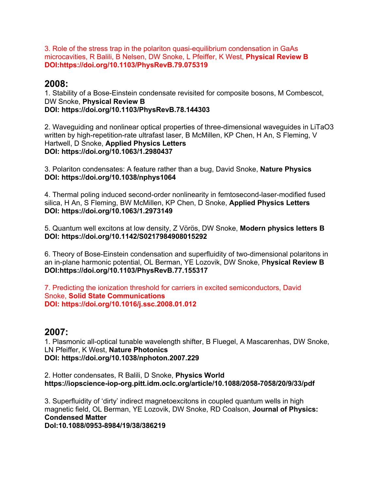3. Role of the stress trap in the polariton quasi-equilibrium condensation in GaAs microcavities, R Balili, B Nelsen, DW Snoke, L Pfeiffer, K West, **Physical Review B DOI:https://doi.org/10.1103/PhysRevB.79.075319**

#### **2008:**

1. Stability of a Bose-Einstein condensate revisited for composite bosons, M Combescot, DW Snoke, **Physical Review B DOI: https://doi.org/10.1103/PhysRevB.78.144303**

2. Waveguiding and nonlinear optical properties of three-dimensional waveguides in LiTaO3 written by high-repetition-rate ultrafast laser, B McMillen, KP Chen, H An, S Fleming, V Hartwell, D Snoke, **Applied Physics Letters DOI: https://doi.org/10.1063/1.2980437**

3. Polariton condensates: A feature rather than a bug, David Snoke, **Nature Physics DOI: https://doi.org/10.1038/nphys1064**

4. Thermal poling induced second-order nonlinearity in femtosecond-laser-modified fused silica, H An, S Fleming, BW McMillen, KP Chen, D Snoke, **Applied Physics Letters DOI: https://doi.org/10.1063/1.2973149**

5. Quantum well excitons at low density, Z Vörös, DW Snoke, **Modern physics letters B DOI: https://doi.org/10.1142/S0217984908015292**

6. Theory of Bose-Einstein condensation and superfluidity of two-dimensional polaritons in an in-plane harmonic potential, OL Berman, YE Lozovik, DW Snoke, P**hysical Review B DOI:https://doi.org/10.1103/PhysRevB.77.155317**

7. Predicting the ionization threshold for carriers in excited semiconductors, David Snoke, **Solid State Communications DOI: https://doi.org/10.1016/j.ssc.2008.01.012**

#### **2007:**

1. Plasmonic all-optical tunable wavelength shifter, B Fluegel, A Mascarenhas, DW Snoke, LN Pfeiffer, K West, **Nature Photonics DOI: https://doi.org/10.1038/nphoton.2007.229**

2. Hotter condensates, R Balili, D Snoke, **Physics World https://iopscience-iop-org.pitt.idm.oclc.org/article/10.1088/2058-7058/20/9/33/pdf**

3. Superfluidity of 'dirty' indirect magnetoexcitons in coupled quantum wells in high magnetic field, OL Berman, YE Lozovik, DW Snoke, RD Coalson, **Journal of Physics: Condensed Matter DoI:10.1088/0953-8984/19/38/386219**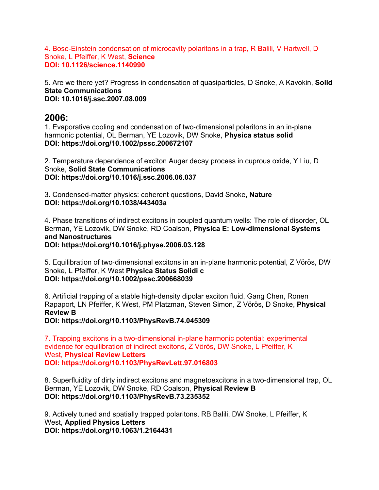4. Bose-Einstein condensation of microcavity polaritons in a trap, R Balili, V Hartwell, D Snoke, L Pfeiffer, K West, **Science DOI: 10.1126/science.1140990**

5. Are we there yet? Progress in condensation of quasiparticles, D Snoke, A Kavokin, **Solid State Communications DOI: 10.1016/j.ssc.2007.08.009**

#### **2006:**

1. Evaporative cooling and condensation of two-dimensional polaritons in an in-plane harmonic potential, OL Berman, YE Lozovik, DW Snoke, **Physica status solid DOI: https://doi.org/10.1002/pssc.200672107**

2. Temperature dependence of exciton Auger decay process in cuprous oxide, Y Liu, D Snoke, **Solid State Communications DOI: https://doi.org/10.1016/j.ssc.2006.06.037**

3. Condensed-matter physics: coherent questions, David Snoke, **Nature DOI: https://doi.org/10.1038/443403a**

4. Phase transitions of indirect excitons in coupled quantum wells: The role of disorder, OL Berman, YE Lozovik, DW Snoke, RD Coalson, **Physica E: Low-dimensional Systems and Nanostructures DOI: https://doi.org/10.1016/j.physe.2006.03.128**

5. Equilibration of two-dimensional excitons in an in-plane harmonic potential, Z Vörös, DW Snoke, L Pfeiffer, K West **Physica Status Solidi c DOI: https://doi.org/10.1002/pssc.200668039**

6. Artificial trapping of a stable high-density dipolar exciton fluid, Gang Chen, Ronen Rapaport, LN Pfeiffer, K West, PM Platzman, Steven Simon, Z Vörös, D Snoke, **Physical Review B**

**DOI: https://doi.org/10.1103/PhysRevB.74.045309**

7. Trapping excitons in a two-dimensional in-plane harmonic potential: experimental evidence for equilibration of indirect excitons, Z Vörös, DW Snoke, L Pfeiffer, K West, **Physical Review Letters DOI: https://doi.org/10.1103/PhysRevLett.97.016803**

8. Superfluidity of dirty indirect excitons and magnetoexcitons in a two-dimensional trap, OL Berman, YE Lozovik, DW Snoke, RD Coalson, **Physical Review B DOI: https://doi.org/10.1103/PhysRevB.73.235352**

9. Actively tuned and spatially trapped polaritons, RB Balili, DW Snoke, L Pfeiffer, K West, **Applied Physics Letters DOI: https://doi.org/10.1063/1.2164431**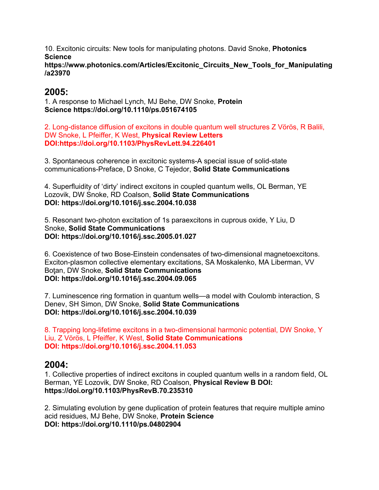10. Excitonic circuits: New tools for manipulating photons. David Snoke, **Photonics Science https://www.photonics.com/Articles/Excitonic\_Circuits\_New\_Tools\_for\_Manipulating /a23970**

### **2005:**

1. A response to Michael Lynch, MJ Behe, DW Snoke, **Protein Science https://doi.org/10.1110/ps.051674105**

2. Long-distance diffusion of excitons in double quantum well structures Z Vörös, R Balili, DW Snoke, L Pfeiffer, K West, **Physical Review Letters DOI:https://doi.org/10.1103/PhysRevLett.94.226401**

3. Spontaneous coherence in excitonic systems-A special issue of solid-state communications-Preface, D Snoke, C Tejedor, **Solid State Communications**

4. Superfluidity of 'dirty' indirect excitons in coupled quantum wells, OL Berman, YE Lozovik, DW Snoke, RD Coalson, **Solid State Communications DOI: https://doi.org/10.1016/j.ssc.2004.10.038**

5. Resonant two-photon excitation of 1s paraexcitons in cuprous oxide, Y Liu, D Snoke, **Solid State Communications DOI: https://doi.org/10.1016/j.ssc.2005.01.027**

6. Coexistence of two Bose-Einstein condensates of two-dimensional magnetoexcitons. Exciton-plasmon collective elementary excitations, SA Moskalenko, MA Liberman, VV Boţan, DW Snoke, **Solid State Communications DOI: https://doi.org/10.1016/j.ssc.2004.09.065**

7. Luminescence ring formation in quantum wells—a model with Coulomb interaction, S Denev, SH Simon, DW Snoke, **Solid State Communications DOI: https://doi.org/10.1016/j.ssc.2004.10.039**

8. Trapping long-lifetime excitons in a two-dimensional harmonic potential, DW Snoke, Y Liu, Z Vörös, L Pfeiffer, K West, **Solid State Communications DOI: https://doi.org/10.1016/j.ssc.2004.11.053**

## **2004:**

1. Collective properties of indirect excitons in coupled quantum wells in a random field, OL Berman, YE Lozovik, DW Snoke, RD Coalson, **Physical Review B DOI: https://doi.org/10.1103/PhysRevB.70.235310**

2. Simulating evolution by gene duplication of protein features that require multiple amino acid residues, MJ Behe, DW Snoke, **Protein Science DOI: https://doi.org/10.1110/ps.04802904**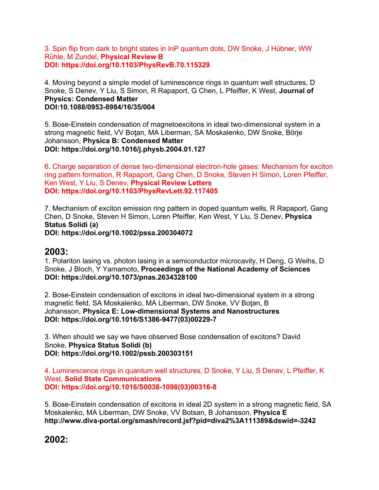#### 3. Spin flip from dark to bright states in InP quantum dots, DW Snoke, J Hübner, WW Rühle, M Zundel, **Physical Review B DOI: https://doi.org/10.1103/PhysRevB.70.115329**

4. Moving beyond a simple model of luminescence rings in quantum well structures, D Snoke, S Denev, Y Liu, S Simon, R Rapaport, G Chen, L Pfeiffer, K West, **Journal of Physics: Condensed Matter DOI:10.1088/0953-8984/16/35/004**

5. Bose-Einstein condensation of magnetoexcitons in ideal two-dimensional system in a strong magnetic field, VV Boţan, MA Liberman, SA Moskalenko, DW Snoke, Börje Johansson, **Physica B: Condensed Matter DOI: https://doi.org/10.1016/j.physb.2004.01.127**

6. Charge separation of dense two-dimensional electron-hole gases: Mechanism for exciton ring pattern formation, R Rapaport, Gang Chen, D Snoke, Steven H Simon, Loren Pfeiffer, Ken West, Y Liu, S Denev, **Physical Review Letters DOI: https://doi.org/10.1103/PhysRevLett.92.117405**

7. Mechanism of exciton emission ring pattern in doped quantum wells, R Rapaport, Gang Chen, D Snoke, Steven H Simon, Loren Pfeiffer, Ken West, Y Liu, S Denev, **Physica Status Solidi (a) DOI: https://doi.org/10.1002/pssa.200304072**

#### **2003:**

1. Polariton lasing vs. photon lasing in a semiconductor microcavity, H Deng, G Weihs, D Snoke, J Bloch, Y Yamamoto, **Proceedings of the National Academy of Sciences DOI: https://doi.org/10.1073/pnas.2634328100**

2. Bose-Einstein condensation of excitons in ideal two-dimensional system in a strong magnetic field, SA Moskalenko, MA Liberman, DW Snoke, VV Boţan, B Johansson, **Physica E: Low-dimensional Systems and Nanostructures DOI: https://doi.org/10.1016/S1386-9477(03)00229-7**

3. When should we say we have observed Bose condensation of excitons? David Snoke, **Physica Status Solidi (b) DOI: https://doi.org/10.1002/pssb.200303151**

4. Luminescence rings in quantum well structures, D Snoke, Y Liu, S Denev, L Pfeiffer, K West, **Solid State Communications DOI: https://doi.org/10.1016/S0038-1098(03)00316-8**

5. Bose-Einstein condensation of excitons in ideal 2D system in a strong magnetic field, SA Moskalenko, MA Liberman, DW Snoke, VV Botsan, B Johansson, **Physica E http://www.diva-portal.org/smash/record.jsf?pid=diva2%3A111389&dswid=-3242**

## **2002:**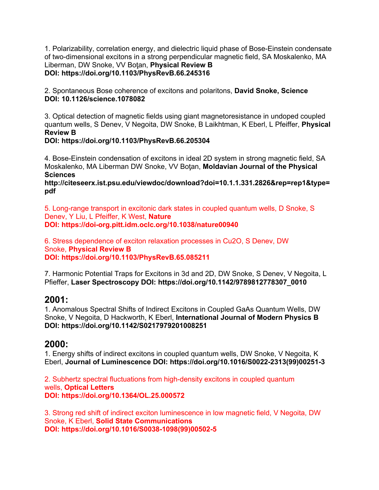1. Polarizability, correlation energy, and dielectric liquid phase of Bose-Einstein condensate of two-dimensional excitons in a strong perpendicular magnetic field, SA Moskalenko, MA Liberman, DW Snoke, VV Boţan, **Physical Review B DOI: https://doi.org/10.1103/PhysRevB.66.245316**

2. Spontaneous Bose coherence of excitons and polaritons, **David Snoke, Science DOI: 10.1126/science.1078082**

3. Optical detection of magnetic fields using giant magnetoresistance in undoped coupled quantum wells, S Denev, V Negoita, DW Snoke, B Laikhtman, K Eberl, L Pfeiffer, **Physical Review B**

**DOI: https://doi.org/10.1103/PhysRevB.66.205304**

4. Bose-Einstein condensation of excitons in ideal 2D system in strong magnetic field, SA Moskalenko, MA Liberman DW Snoke, VV Boţan, **Moldavian Journal of the Physical Sciences**

**http://citeseerx.ist.psu.edu/viewdoc/download?doi=10.1.1.331.2826&rep=rep1&type= pdf**

5. Long-range transport in excitonic dark states in coupled quantum wells, D Snoke, S Denev, Y Liu, L Pfeiffer, K West, **Nature DOI: https://doi-org.pitt.idm.oclc.org/10.1038/nature00940**

6. Stress dependence of exciton relaxation processes in Cu2O, S Denev, DW Snoke, **Physical Review B DOI: https://doi.org/10.1103/PhysRevB.65.085211**

7. Harmonic Potential Traps for Excitons in 3d and 2D, DW Snoke, S Denev, V Negoita, L Pfieffer, **Laser Spectroscopy DOI: https://doi.org/10.1142/9789812778307\_0010**

#### **2001:**

1. Anomalous Spectral Shifts of Indirect Excitons in Coupled GaAs Quantum Wells, DW Snoke, V Negoita, D Hackworth, K Eberl, **International Journal of Modern Physics B DOI: https://doi.org/10.1142/S0217979201008251**

## **2000:**

1. Energy shifts of indirect excitons in coupled quantum wells, DW Snoke, V Negoita, K Eberl, **Journal of Luminescence DOI: https://doi.org/10.1016/S0022-2313(99)00251-3**

2. Subhertz spectral fluctuations from high-density excitons in coupled quantum wells, **Optical Letters DOI: https://doi.org/10.1364/OL.25.000572**

3. Strong red shift of indirect exciton luminescence in low magnetic field, V Negoita, DW Snoke, K Eberl, **Solid State Communications DOI: https://doi.org/10.1016/S0038-1098(99)00502-5**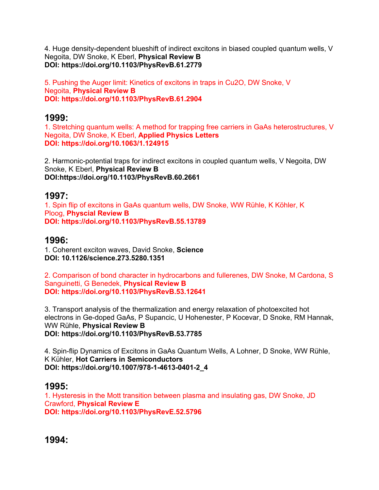4. Huge density-dependent blueshift of indirect excitons in biased coupled quantum wells, V Negoita, DW Snoke, K Eberl, **Physical Review B DOI: https://doi.org/10.1103/PhysRevB.61.2779**

5. Pushing the Auger limit: Kinetics of excitons in traps in Cu2O, DW Snoke, V Negoita, **Physical Review B DOI: https://doi.org/10.1103/PhysRevB.61.2904**

## **1999:**

1. Stretching quantum wells: A method for trapping free carriers in GaAs heterostructures, V Negoita, DW Snoke, K Eberl, **Applied Physics Letters DOI: https://doi.org/10.1063/1.124915**

2. Harmonic-potential traps for indirect excitons in coupled quantum wells, V Negoita, DW Snoke, K Eberl, **Physical Review B DOI:https://doi.org/10.1103/PhysRevB.60.2661**

## **1997:**

1. Spin flip of excitons in GaAs quantum wells, DW Snoke, WW Rühle, K Köhler, K Ploog, **Physcial Review B DOI: https://doi.org/10.1103/PhysRevB.55.13789**

## **1996:**

1. Coherent exciton waves, David Snoke, **Science DOI: 10.1126/science.273.5280.1351**

2. Comparison of bond character in hydrocarbons and fullerenes, DW Snoke, M Cardona, S Sanguinetti, G Benedek, **Physical Review B DOI: https://doi.org/10.1103/PhysRevB.53.12641**

3. Transport analysis of the thermalization and energy relaxation of photoexcited hot electrons in Ge-doped GaAs, P Supancic, U Hohenester, P Kocevar, D Snoke, RM Hannak, WW Rühle, **Physical Review B DOI: https://doi.org/10.1103/PhysRevB.53.7785**

4. Spin-flip Dynamics of Excitons in GaAs Quantum Wells, A Lohner, D Snoke, WW Rühle, K Kühler, **Hot Carriers in Semiconductors DOI: https://doi.org/10.1007/978-1-4613-0401-2\_4**

## **1995:**

1. Hysteresis in the Mott transition between plasma and insulating gas, DW Snoke, JD Crawford, **Physical Review E DOI: https://doi.org/10.1103/PhysRevE.52.5796**

**1994:**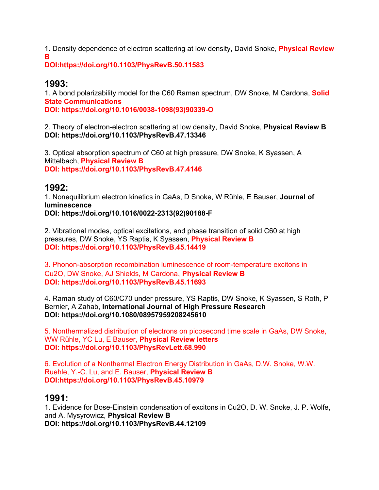1. Density dependence of electron scattering at low density, David Snoke, **Physical Review B**

**DOI:https://doi.org/10.1103/PhysRevB.50.11583**

## **1993:**

1. A bond polarizability model for the C60 Raman spectrum, DW Snoke, M Cardona, **Solid State Communications**

**DOI: https://doi.org/10.1016/0038-1098(93)90339-O**

2. Theory of electron-electron scattering at low density, David Snoke, **Physical Review B DOI: https://doi.org/10.1103/PhysRevB.47.13346**

3. Optical absorption spectrum of C60 at high pressure, DW Snoke, K Syassen, A Mittelbach, **Physical Review B DOI: https://doi.org/10.1103/PhysRevB.47.4146**

## **1992:**

1. Nonequilibrium electron kinetics in GaAs, D Snoke, W Rühle, E Bauser, **Journal of luminescence DOI: https://doi.org/10.1016/0022-2313(92)90188-F**

2. Vibrational modes, optical excitations, and phase transition of solid C60 at high pressures, DW Snoke, YS Raptis, K Syassen, **Physical Review B DOI: https://doi.org/10.1103/PhysRevB.45.14419**

3. Phonon-absorption recombination luminescence of room-temperature excitons in Cu2O, DW Snoke, AJ Shields, M Cardona, **Physical Review B DOI: https://doi.org/10.1103/PhysRevB.45.11693**

4. Raman study of C60/C70 under pressure, YS Raptis, DW Snoke, K Syassen, S Roth, P Bernier, A Zahab, **International Journal of High Pressure Research DOI: https://doi.org/10.1080/08957959208245610**

5. Nonthermalized distribution of electrons on picosecond time scale in GaAs, DW Snoke, WW Rühle, YC Lu, E Bauser, **Physical Review letters DOI: https://doi.org/10.1103/PhysRevLett.68.990**

6. Evolution of a Nonthermal Electron Energy Distribution in GaAs, D.W. Snoke, W.W. Ruehle, Y.-C. Lu, and E. Bauser, **Physical Review B DOI:https://doi.org/10.1103/PhysRevB.45.10979**

## **1991:**

1. Evidence for Bose-Einstein condensation of excitons in Cu2O, D. W. Snoke, J. P. Wolfe, and A. Mysyrowicz, **Physical Review B DOI: https://doi.org/10.1103/PhysRevB.44.12109**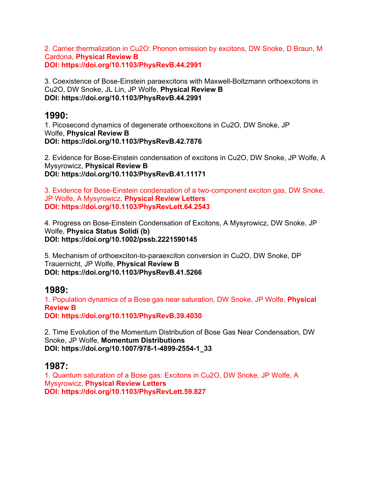2. Carrier thermalization in Cu2O: Phonon emission by excitons, DW Snoke, D Braun, M Cardona, **Physical Review B DOI: https://doi.org/10.1103/PhysRevB.44.2991**

3. Coexistence of Bose-Einstein paraexcitons with Maxwell-Boltzmann orthoexcitons in Cu2O, DW Snoke, JL Lin, JP Wolfe, **Physical Review B DOI: https://doi.org/10.1103/PhysRevB.44.2991**

### **1990:**

1. Picosecond dynamics of degenerate orthoexcitons in Cu2O, DW Snoke, JP Wolfe, **Physical Review B DOI: https://doi.org/10.1103/PhysRevB.42.7876**

2. Evidence for Bose-Einstein condensation of excitons in Cu2O, DW Snoke, JP Wolfe, A Mysyrowicz, **Physical Review B DOI: https://doi.org/10.1103/PhysRevB.41.11171**

3. Evidence for Bose-Einstein condensation of a two-component exciton gas, DW Snoke, JP Wolfe, A Mysyrowicz, **Physical Review Letters DOI: https://doi.org/10.1103/PhysRevLett.64.2543**

4. Progress on Bose-Einstein Condensation of Excitons, A Mysyrowicz, DW Snoke, JP Wolfe, **Physica Status Solidi (b) DOI: https://doi.org/10.1002/pssb.2221590145**

5. Mechanism of orthoexciton-to-paraexciton conversion in Cu2O, DW Snoke, DP Trauernicht, JP Wolfe, **Physical Review B DOI: https://doi.org/10.1103/PhysRevB.41.5266**

## **1989:**

1. Population dynamics of a Bose gas near saturation, DW Snoke, JP Wolfe, **Physical Review B**

**DOI: https://doi.org/10.1103/PhysRevB.39.4030**

2. Time Evolution of the Momentum Distribution of Bose Gas Near Condensation, DW Snoke, JP Wolfe, **Momentum Distributions DOI: https://doi.org/10.1007/978-1-4899-2554-1\_33**

## **1987:**

1. Quantum saturation of a Bose gas: Excitons in Cu2O, DW Snoke, JP Wolfe, A Mysyrowicz, **Physical Review Letters DOI: https://doi.org/10.1103/PhysRevLett.59.827**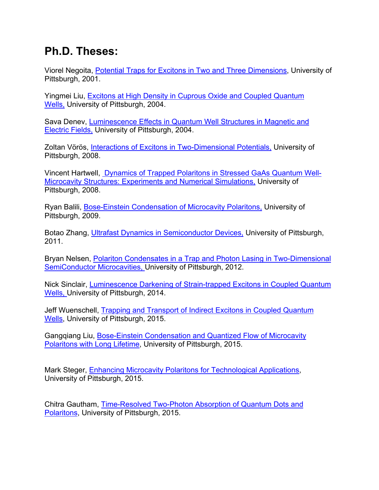# **Ph.D. Theses:**

Viorel Negoita, Potential Traps for Excitons in Two and Three Dimensions, University of Pittsburgh, 2001.

Yingmei Liu, Excitons at High Density in Cuprous Oxide and Coupled Quantum Wells, University of Pittsburgh, 2004.

Sava Denev, Luminescence Effects in Quantum Well Structures in Magnetic and Electric Fields, University of Pittsburgh, 2004.

Zoltan Vörös, Interactions of Excitons in Two-Dimensional Potentials, University of Pittsburgh, 2008.

Vincent Hartwell, Dynamics of Trapped Polaritons in Stressed GaAs Quantum Well-Microcavity Structures: Experiments and Numerical Simulations, University of Pittsburgh, 2008.

Ryan Balili, Bose-Einstein Condensation of Microcavity Polaritons, University of Pittsburgh, 2009.

Botao Zhang, Ultrafast Dynamics in Semiconductor Devices, University of Pittsburgh, 2011.

Bryan Nelsen, Polariton Condensates in a Trap and Photon Lasing in Two-Dimensional SemiConductor Microcavities, University of Pittsburgh, 2012.

Nick Sinclair, Luminescence Darkening of Strain-trapped Excitons in Coupled Quantum Wells, University of Pittsburgh, 2014.

Jeff Wuenschell, Trapping and Transport of Indirect Excitons in Coupled Quantum Wells, University of Pittsburgh, 2015.

Gangqiang Liu, Bose-Einstein Condensation and Quantized Flow of Microcavity Polaritons with Long Lifetime, University of Pittsburgh, 2015.

Mark Steger, Enhancing Microcavity Polaritons for Technological Applications, University of Pittsburgh, 2015.

Chitra Gautham, Time-Resolved Two-Photon Absorption of Quantum Dots and Polaritons, University of Pittsburgh, 2015.